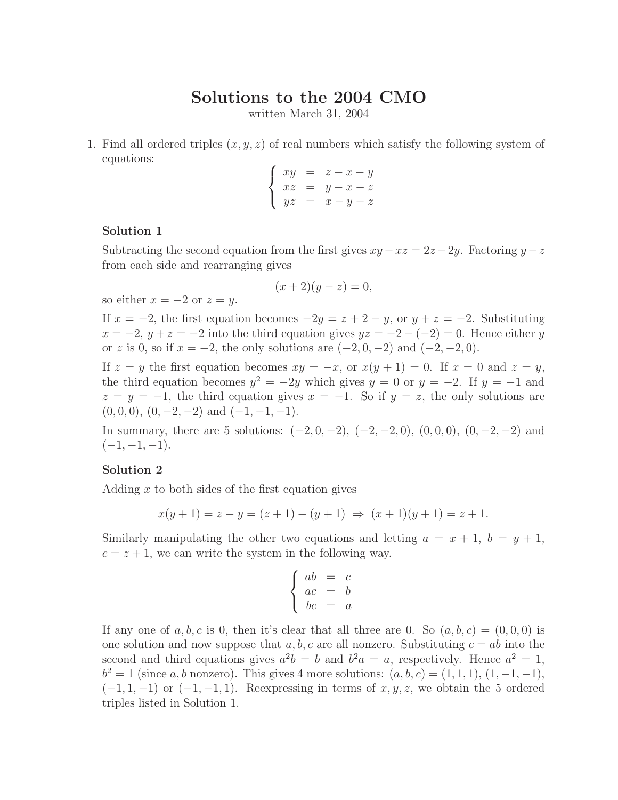# **Solutions to the 2004 CMO**

written March 31, 2004

1. Find all ordered triples (*x, y, z*) of real numbers which satisfy the following system of equations:

$$
\begin{cases}\nxy = z - x - y \\
xz = y - x - z \\
yz = x - y - z\n\end{cases}
$$

# **Solution 1**

Subtracting the second equation from the first gives  $xy - xz = 2z - 2y$ . Factoring  $y - z$ from each side and rearranging gives

$$
(x+2)(y-z) = 0,
$$

so either  $x = -2$  or  $z = y$ .

If  $x = -2$ , the first equation becomes  $-2y = z + 2 - y$ , or  $y + z = -2$ . Substituting  $x = -2$ ,  $y + z = -2$  into the third equation gives  $yz = -2 - (-2) = 0$ . Hence either *y* or *z* is 0, so if  $x = -2$ , the only solutions are  $(-2, 0, -2)$  and  $(-2, -2, 0)$ .

If  $z = y$  the first equation becomes  $xy = -x$ , or  $x(y + 1) = 0$ . If  $x = 0$  and  $z = y$ , the third equation becomes  $y^2 = -2y$  which gives  $y = 0$  or  $y = -2$ . If  $y = -1$  and  $z = y = -1$ , the third equation gives  $x = -1$ . So if  $y = z$ , the only solutions are  $(0, 0, 0), (0, -2, -2)$  and  $(-1, -1, -1)$ .

In summary, there are 5 solutions:  $(-2, 0, -2)$ ,  $(-2, -2, 0)$ ,  $(0, 0, 0)$ ,  $(0, -2, -2)$  and  $(-1, -1, -1)$ .

# **Solution 2**

Adding *x* to both sides of the first equation gives

$$
x(y+1) = z - y = (z+1) - (y+1) \implies (x+1)(y+1) = z+1.
$$

Similarly manipulating the other two equations and letting  $a = x + 1$ ,  $b = y + 1$ ,  $c = z + 1$ , we can write the system in the following way.

$$
\begin{cases}\nab = c \\
ac = b \\
bc = a\n\end{cases}
$$

If any one of  $a, b, c$  is 0, then it's clear that all three are 0. So  $(a, b, c) = (0, 0, 0)$  is one solution and now suppose that  $a, b, c$  are all nonzero. Substituting  $c = ab$  into the second and third equations gives  $a^2b = b$  and  $b^2a = a$ , respectively. Hence  $a^2 = 1$ ,  $b^2 = 1$  (since *a, b* nonzero). This gives 4 more solutions:  $(a, b, c) = (1, 1, 1), (1, -1, -1),$  $(-1, 1, -1)$  or  $(-1, -1, 1)$ . Reexpressing in terms of *x, y, z,* we obtain the 5 ordered triples listed in Solution 1.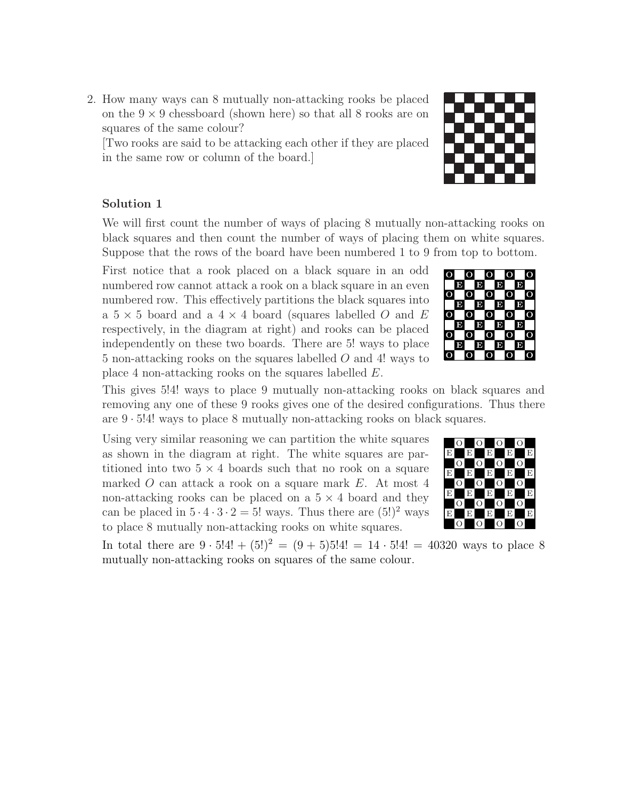2. How many ways can 8 mutually non-attacking rooks be placed on the  $9 \times 9$  chessboard (shown here) so that all 8 rooks are on squares of the same colour?

[Two rooks are said to be attacking each other if they are placed in the same row or column of the board.]

# **Solution 1**

We will first count the number of ways of placing 8 mutually non-attacking rooks on black squares and then count the number of ways of placing them on white squares. Suppose that the rows of the board have been numbered 1 to 9 from top to bottom.

First notice that a rook placed on a black square in an odd numbered row cannot attack a rook on a black square in an even numbered row. This effectively partitions the black squares into a 5 × 5 board and a 4 × 4 board (squares labelled *O* and *E* respectively, in the diagram at right) and rooks can be placed independently on these two boards. There are 5! ways to place 5 non-attacking rooks on the squares labelled *O* and 4! ways to place 4 non-attacking rooks on the squares labelled *E*.

This gives 5!4! ways to place 9 mutually non-attacking rooks on black squares and removing any one of these 9 rooks gives one of the desired configurations. Thus there are 9 · 5!4! ways to place 8 mutually non-attacking rooks on black squares.

Using very similar reasoning we can partition the white squares as shown in the diagram at right. The white squares are partitioned into two  $5 \times 4$  boards such that no rook on a square marked *O* can attack a rook on a square mark *E*. At most 4 non-attacking rooks can be placed on a  $5 \times 4$  board and they can be placed in  $5 \cdot 4 \cdot 3 \cdot 2 = 5!$  ways. Thus there are  $(5!)^2$  ways to place 8 mutually non-attacking rooks on white squares.  $\Box$   $\Box$   $\Box$ 

In total there are  $9 \cdot 5!4! + (5!)^2 = (9+5)5!4! = 14 \cdot 5!4! = 40320$  ways to place 8 mutually non-attacking rooks on squares of the same colour.

#### **OOOOO OOOOO OOOOO OOOOO O**OO **EE EE EEE** EEE **EEEE EEEE**





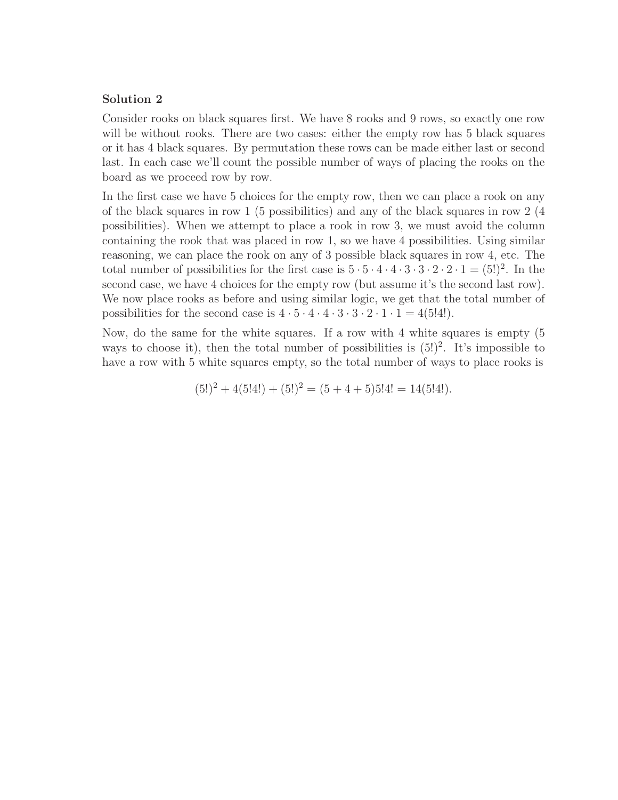# **Solution 2**

Consider rooks on black squares first. We have 8 rooks and 9 rows, so exactly one row will be without rooks. There are two cases: either the empty row has 5 black squares or it has 4 black squares. By permutation these rows can be made either last or second last. In each case we'll count the possible number of ways of placing the rooks on the board as we proceed row by row.

In the first case we have 5 choices for the empty row, then we can place a rook on any of the black squares in row 1 (5 possibilities) and any of the black squares in row 2 (4 possibilities). When we attempt to place a rook in row 3, we must avoid the column containing the rook that was placed in row 1, so we have 4 possibilities. Using similar reasoning, we can place the rook on any of 3 possible black squares in row 4, etc. The total number of possibilities for the first case is  $5 \cdot 5 \cdot 4 \cdot 4 \cdot 3 \cdot 3 \cdot 2 \cdot 2 \cdot 1 = (5!)^2$ . In the second case, we have 4 choices for the empty row (but assume it's the second last row). We now place rooks as before and using similar logic, we get that the total number of possibilities for the second case is  $4 \cdot 5 \cdot 4 \cdot 4 \cdot 3 \cdot 3 \cdot 2 \cdot 1 \cdot 1 = 4(5!4!)$ .

Now, do the same for the white squares. If a row with 4 white squares is empty (5 ways to choose it), then the total number of possibilities is  $(5!)^2$ . It's impossible to have a row with 5 white squares empty, so the total number of ways to place rooks is

$$
(5!)^2 + 4(5!4!) + (5!)^2 = (5 + 4 + 5)5!4! = 14(5!4!).
$$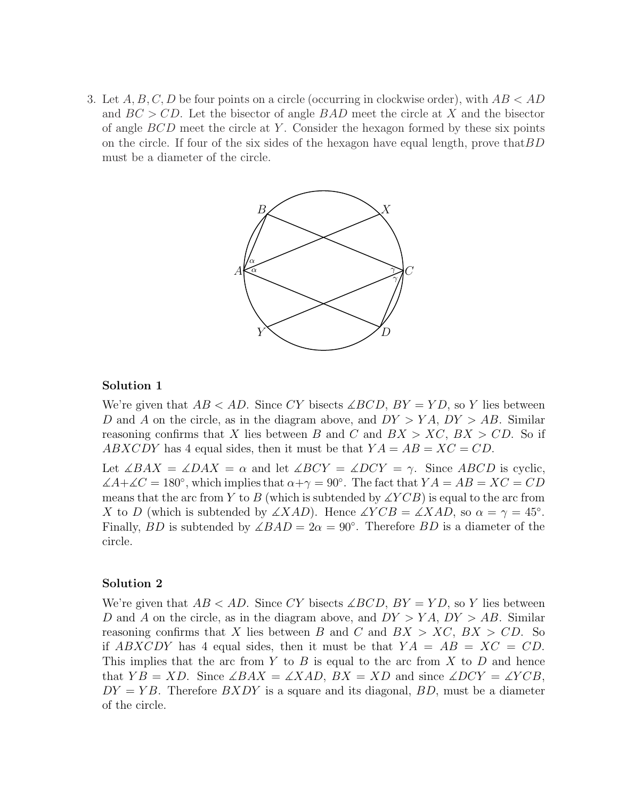3. Let *A, B, C, D* be four points on a circle (occurring in clockwise order), with *AB < AD* and *BC > CD*. Let the bisector of angle *BAD* meet the circle at *X* and the bisector of angle *BCD* meet the circle at *Y* . Consider the hexagon formed by these six points on the circle. If four of the six sides of the hexagon have equal length, prove that*BD* must be a diameter of the circle.



# **Solution 1**

We're given that  $AB < AD$ . Since CY bisects  $\angle BCD$ ,  $BY = YD$ , so *Y* lies between *D* and *A* on the circle, as in the diagram above, and *DY > Y A*, *DY > AB*. Similar reasoning confirms that *X* lies between *B* and *C* and  $BX > XC$ ,  $BX > CD$ . So if *ABXCDY* has 4 equal sides, then it must be that  $YA = AB = XC = CD$ .

Let  $\angle BAX = \angle DAX = \alpha$  and let  $\angle BCY = \angle DCY = \gamma$ . Since *ABCD* is cyclic,  $\angle A + \angle C = 180^\circ$ , which implies that  $\alpha + \gamma = 90^\circ$ . The fact that  $YA = AB = XC = CD$ means that the arc from *Y* to *B* (which is subtended by  $\angle YCB$ ) is equal to the arc from *X* to *D* (which is subtended by  $\angle XAD$ ). Hence  $\angle YCB = \angle XAD$ , so  $\alpha = \gamma = 45^{\circ}$ . Finally, *BD* is subtended by  $\angle BAD = 2\alpha = 90^\circ$ . Therefore *BD* is a diameter of the circle.

# **Solution 2**

We're given that  $AB < AD$ . Since CY bisects  $\angle BCD$ ,  $BY = YD$ , so Y lies between *D* and *A* on the circle, as in the diagram above, and *DY > Y A*, *DY > AB*. Similar reasoning confirms that *X* lies between *B* and *C* and  $BX > XC$ ,  $BX > CD$ . So if  $ABXCDY$  has 4 equal sides, then it must be that  $YA = AB = XC = CD$ . This implies that the arc from *Y* to *B* is equal to the arc from *X* to *D* and hence that  $YB = XD$ . Since  $\angle BAX = \angle XAD$ ,  $BX = XD$  and since  $\angle DCY = \angle YCB$ ,  $DY = YB$ . Therefore  $BXDY$  is a square and its diagonal,  $BD$ , must be a diameter of the circle.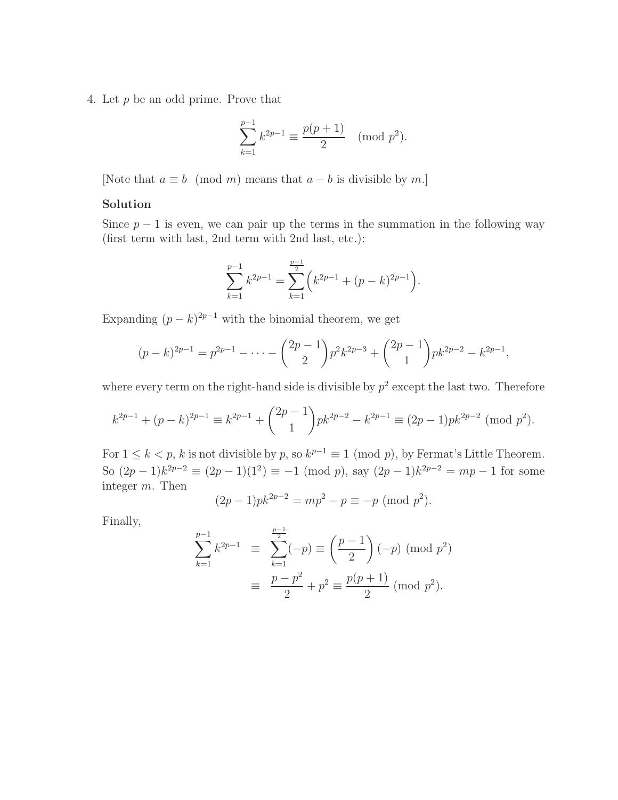4. Let *p* be an odd prime. Prove that

$$
\sum_{k=1}^{p-1} k^{2p-1} \equiv \frac{p(p+1)}{2} \pmod{p^2}.
$$

[Note that  $a \equiv b \pmod{m}$  means that  $a - b$  is divisible by m.]

#### **Solution**

Since  $p-1$  is even, we can pair up the terms in the summation in the following way (first term with last, 2nd term with 2nd last, etc.):

$$
\sum_{k=1}^{p-1} k^{2p-1} = \sum_{k=1}^{\frac{p-1}{2}} \left( k^{2p-1} + (p-k)^{2p-1} \right).
$$

Expanding  $(p - k)^{2p-1}$  with the binomial theorem, we get

$$
(p-k)^{2p-1} = p^{2p-1} - \dots - {2p-1 \choose 2} p^2 k^{2p-3} + {2p-1 \choose 1} p k^{2p-2} - k^{2p-1},
$$

where every term on the right-hand side is divisible by  $p^2$  except the last two. Therefore

$$
k^{2p-1} + (p-k)^{2p-1} \equiv k^{2p-1} + {2p-1 \choose 1} pk^{2p-2} - k^{2p-1} \equiv (2p-1)pk^{2p-2} \pmod{p^2}.
$$

For  $1 \leq k < p$ , *k* is not divisible by *p*, so  $k^{p-1} \equiv 1 \pmod{p}$ , by Fermat's Little Theorem. So  $(2p-1)k^{2p-2} \equiv (2p-1)(1^2) \equiv -1 \pmod{p}$ , say  $(2p-1)k^{2p-2} = mp-1$  for some integer *m*. Then

$$
(2p-1)pk^{2p-2} = mp^2 - p \equiv -p \pmod{p^2}.
$$

Finally,

$$
\sum_{k=1}^{p-1} k^{2p-1} \equiv \sum_{k=1}^{\frac{p-1}{2}} (-p) \equiv \left(\frac{p-1}{2}\right) (-p) \pmod{p^2}
$$

$$
\equiv \frac{p-p^2}{2} + p^2 \equiv \frac{p(p+1)}{2} \pmod{p^2}.
$$